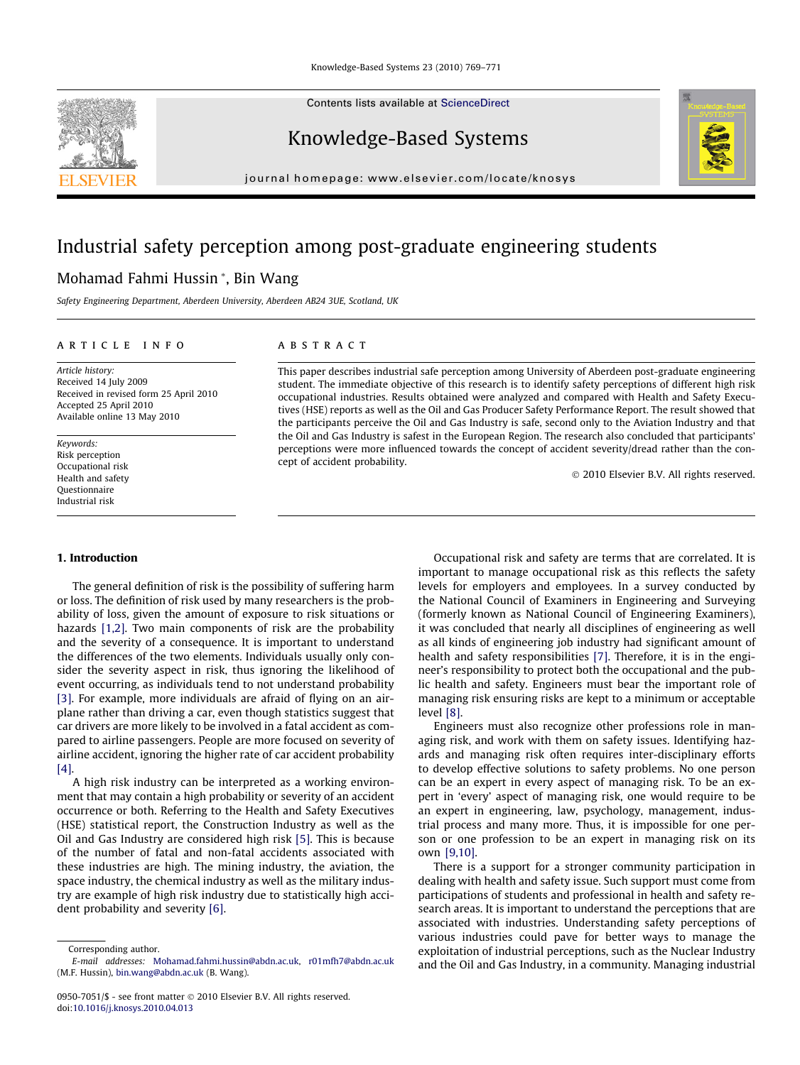Contents lists available at [ScienceDirect](http://www.sciencedirect.com/science/journal/09507051)

### Knowledge-Based Systems

journal homepage: [www.elsevier.com/locate/knosys](http://www.elsevier.com/locate/knosys)

## Industrial safety perception among post-graduate engineering students

### Mohamad Fahmi Hussin \*, Bin Wang

Safety Engineering Department, Aberdeen University, Aberdeen AB24 3UE, Scotland, UK

#### article info

Article history: Received 14 July 2009 Received in revised form 25 April 2010 Accepted 25 April 2010 Available online 13 May 2010

Keywords: Risk perception Occupational risk Health and safety Questionnaire Industrial risk

#### 1. Introduction

The general definition of risk is the possibility of suffering harm or loss. The definition of risk used by many researchers is the probability of loss, given the amount of exposure to risk situations or hazards [\[1,2\].](#page--1-0) Two main components of risk are the probability and the severity of a consequence. It is important to understand the differences of the two elements. Individuals usually only consider the severity aspect in risk, thus ignoring the likelihood of event occurring, as individuals tend to not understand probability [\[3\]](#page--1-0). For example, more individuals are afraid of flying on an airplane rather than driving a car, even though statistics suggest that car drivers are more likely to be involved in a fatal accident as compared to airline passengers. People are more focused on severity of airline accident, ignoring the higher rate of car accident probability [\[4\]](#page--1-0).

A high risk industry can be interpreted as a working environment that may contain a high probability or severity of an accident occurrence or both. Referring to the Health and Safety Executives (HSE) statistical report, the Construction Industry as well as the Oil and Gas Industry are considered high risk [\[5\].](#page--1-0) This is because of the number of fatal and non-fatal accidents associated with these industries are high. The mining industry, the aviation, the space industry, the chemical industry as well as the military industry are example of high risk industry due to statistically high accident probability and severity [\[6\]](#page--1-0).

Corresponding author.

#### **ABSTRACT**

This paper describes industrial safe perception among University of Aberdeen post-graduate engineering student. The immediate objective of this research is to identify safety perceptions of different high risk occupational industries. Results obtained were analyzed and compared with Health and Safety Executives (HSE) reports as well as the Oil and Gas Producer Safety Performance Report. The result showed that the participants perceive the Oil and Gas Industry is safe, second only to the Aviation Industry and that the Oil and Gas Industry is safest in the European Region. The research also concluded that participants' perceptions were more influenced towards the concept of accident severity/dread rather than the concept of accident probability.

© 2010 Elsevier B.V. All rights reserved.

Occupational risk and safety are terms that are correlated. It is important to manage occupational risk as this reflects the safety levels for employers and employees. In a survey conducted by the National Council of Examiners in Engineering and Surveying (formerly known as National Council of Engineering Examiners), it was concluded that nearly all disciplines of engineering as well as all kinds of engineering job industry had significant amount of health and safety responsibilities [\[7\].](#page--1-0) Therefore, it is in the engineer's responsibility to protect both the occupational and the public health and safety. Engineers must bear the important role of managing risk ensuring risks are kept to a minimum or acceptable level [\[8\].](#page--1-0)

Engineers must also recognize other professions role in managing risk, and work with them on safety issues. Identifying hazards and managing risk often requires inter-disciplinary efforts to develop effective solutions to safety problems. No one person can be an expert in every aspect of managing risk. To be an expert in 'every' aspect of managing risk, one would require to be an expert in engineering, law, psychology, management, industrial process and many more. Thus, it is impossible for one person or one profession to be an expert in managing risk on its own [\[9,10\].](#page--1-0)

There is a support for a stronger community participation in dealing with health and safety issue. Such support must come from participations of students and professional in health and safety research areas. It is important to understand the perceptions that are associated with industries. Understanding safety perceptions of various industries could pave for better ways to manage the exploitation of industrial perceptions, such as the Nuclear Industry and the Oil and Gas Industry, in a community. Managing industrial





E-mail addresses: [Mohamad.fahmi.hussin@abdn.ac.uk,](mailto:Mohamad.fahmi.hussin@abdn.ac.uk) [r01mfh7@abdn.ac.uk](mailto:r01mfh7@abdn.ac.uk) (M.F. Hussin), [bin.wang@abdn.ac.uk](mailto:bin.wang@abdn.ac.uk) (B. Wang).

<sup>0950-7051/\$ -</sup> see front matter © 2010 Elsevier B.V. All rights reserved. doi[:10.1016/j.knosys.2010.04.013](http://dx.doi.org/10.1016/j.knosys.2010.04.013)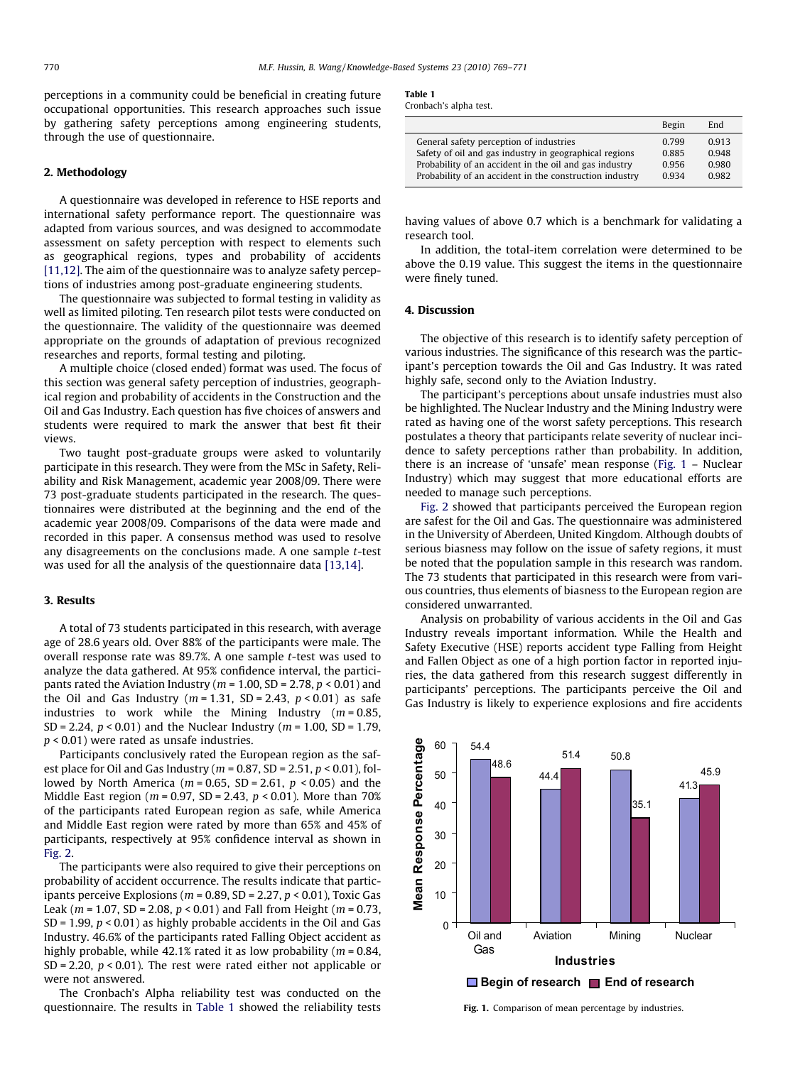perceptions in a community could be beneficial in creating future occupational opportunities. This research approaches such issue by gathering safety perceptions among engineering students, through the use of questionnaire.

#### 2. Methodology

A questionnaire was developed in reference to HSE reports and international safety performance report. The questionnaire was adapted from various sources, and was designed to accommodate assessment on safety perception with respect to elements such as geographical regions, types and probability of accidents [\[11,12\].](#page--1-0) The aim of the questionnaire was to analyze safety perceptions of industries among post-graduate engineering students.

The questionnaire was subjected to formal testing in validity as well as limited piloting. Ten research pilot tests were conducted on the questionnaire. The validity of the questionnaire was deemed appropriate on the grounds of adaptation of previous recognized researches and reports, formal testing and piloting.

A multiple choice (closed ended) format was used. The focus of this section was general safety perception of industries, geographical region and probability of accidents in the Construction and the Oil and Gas Industry. Each question has five choices of answers and students were required to mark the answer that best fit their views.

Two taught post-graduate groups were asked to voluntarily participate in this research. They were from the MSc in Safety, Reliability and Risk Management, academic year 2008/09. There were 73 post-graduate students participated in the research. The questionnaires were distributed at the beginning and the end of the academic year 2008/09. Comparisons of the data were made and recorded in this paper. A consensus method was used to resolve any disagreements on the conclusions made. A one sample t-test was used for all the analysis of the questionnaire data [\[13,14\].](#page--1-0)

#### 3. Results

A total of 73 students participated in this research, with average age of 28.6 years old. Over 88% of the participants were male. The overall response rate was 89.7%. A one sample t-test was used to analyze the data gathered. At 95% confidence interval, the participants rated the Aviation Industry ( $m = 1.00$ , SD = 2.78,  $p < 0.01$ ) and the Oil and Gas Industry ( $m = 1.31$ , SD = 2.43,  $p < 0.01$ ) as safe industries to work while the Mining Industry ( $m = 0.85$ , SD = 2.24,  $p < 0.01$ ) and the Nuclear Industry ( $m = 1.00$ , SD = 1.79, p < 0.01) were rated as unsafe industries.

Participants conclusively rated the European region as the safest place for Oil and Gas Industry ( $m = 0.87$ , SD = 2.51,  $p < 0.01$ ), followed by North America ( $m = 0.65$ , SD = 2.61,  $p < 0.05$ ) and the Middle East region ( $m = 0.97$ , SD = 2.43,  $p < 0.01$ ). More than 70% of the participants rated European region as safe, while America and Middle East region were rated by more than 65% and 45% of participants, respectively at 95% confidence interval as shown in [Fig. 2](#page--1-0).

The participants were also required to give their perceptions on probability of accident occurrence. The results indicate that participants perceive Explosions ( $m = 0.89$ , SD = 2.27,  $p < 0.01$ ), Toxic Gas Leak ( $m = 1.07$ , SD = 2.08,  $p < 0.01$ ) and Fall from Height ( $m = 0.73$ , SD = 1.99,  $p < 0.01$ ) as highly probable accidents in the Oil and Gas Industry. 46.6% of the participants rated Falling Object accident as highly probable, while 42.1% rated it as low probability ( $m = 0.84$ , SD = 2.20,  $p < 0.01$ ). The rest were rated either not applicable or were not answered.

The Cronbach's Alpha reliability test was conducted on the questionnaire. The results in Table 1 showed the reliability tests

| ۹<br>. . |  |
|----------|--|
|----------|--|

Cronbach's alpha test.

|                                                                                                                                                                                                                        | Begin                            | End                              |
|------------------------------------------------------------------------------------------------------------------------------------------------------------------------------------------------------------------------|----------------------------------|----------------------------------|
| General safety perception of industries<br>Safety of oil and gas industry in geographical regions<br>Probability of an accident in the oil and gas industry<br>Probability of an accident in the construction industry | 0.799<br>0.885<br>0.956<br>0.934 | 0.913<br>0.948<br>0.980<br>0.982 |
|                                                                                                                                                                                                                        |                                  |                                  |

having values of above 0.7 which is a benchmark for validating a research tool.

In addition, the total-item correlation were determined to be above the 0.19 value. This suggest the items in the questionnaire were finely tuned.

#### 4. Discussion

The objective of this research is to identify safety perception of various industries. The significance of this research was the participant's perception towards the Oil and Gas Industry. It was rated highly safe, second only to the Aviation Industry.

The participant's perceptions about unsafe industries must also be highlighted. The Nuclear Industry and the Mining Industry were rated as having one of the worst safety perceptions. This research postulates a theory that participants relate severity of nuclear incidence to safety perceptions rather than probability. In addition, there is an increase of 'unsafe' mean response (Fig. 1 – Nuclear Industry) which may suggest that more educational efforts are needed to manage such perceptions.

[Fig. 2](#page--1-0) showed that participants perceived the European region are safest for the Oil and Gas. The questionnaire was administered in the University of Aberdeen, United Kingdom. Although doubts of serious biasness may follow on the issue of safety regions, it must be noted that the population sample in this research was random. The 73 students that participated in this research were from various countries, thus elements of biasness to the European region are considered unwarranted.

Analysis on probability of various accidents in the Oil and Gas Industry reveals important information. While the Health and Safety Executive (HSE) reports accident type Falling from Height and Fallen Object as one of a high portion factor in reported injuries, the data gathered from this research suggest differently in participants' perceptions. The participants perceive the Oil and Gas Industry is likely to experience explosions and fire accidents



Fig. 1. Comparison of mean percentage by industries.